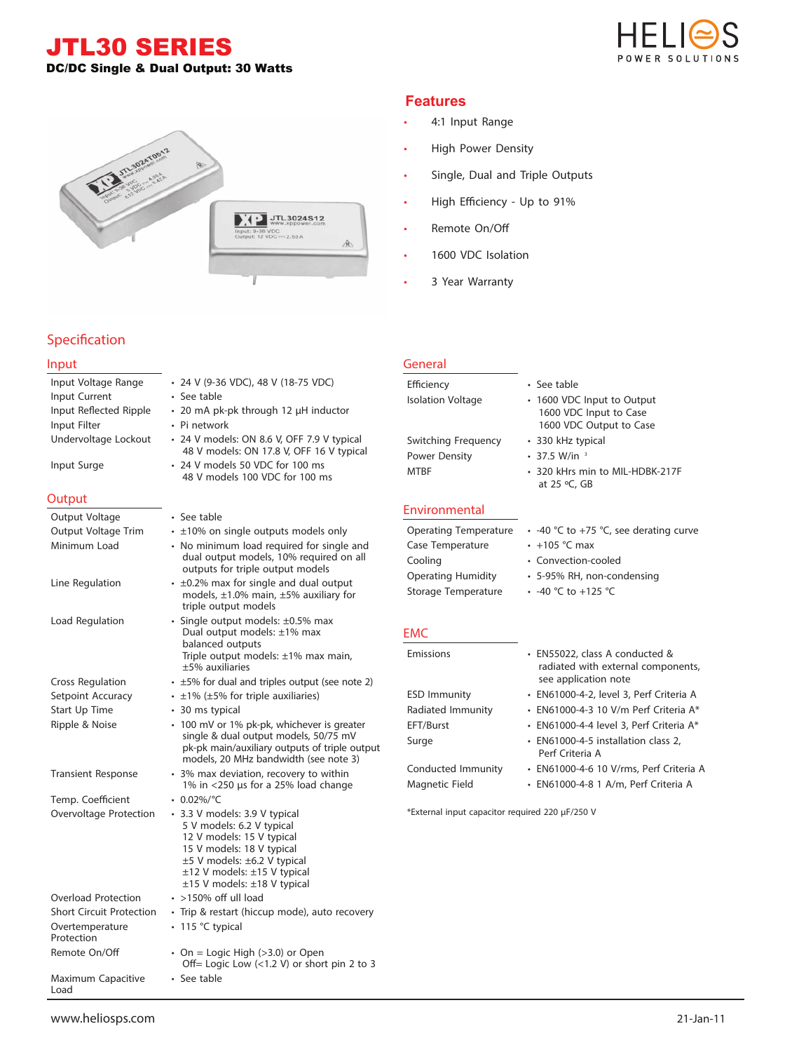JTL30 SERIES DC/DC Single & Dual Output: 30 Watts





# **Specification**

#### **Input**

| Input Voltage Range                   | • 24 V (9-36 VDC), 48 V (18-75 VDC)                                                                                                                                                                                                   |
|---------------------------------------|---------------------------------------------------------------------------------------------------------------------------------------------------------------------------------------------------------------------------------------|
| Input Current                         | • See table                                                                                                                                                                                                                           |
| Input Reflected Ripple                | • 20 mA pk-pk through 12 µH inductor                                                                                                                                                                                                  |
| Input Filter                          | • Pi network                                                                                                                                                                                                                          |
| Undervoltage Lockout                  | • 24 V models: ON 8.6 V, OFF 7.9 V typical<br>48 V models: ON 17.8 V, OFF 16 V typical                                                                                                                                                |
| Input Surge                           | • 24 V models 50 VDC for 100 ms<br>48 V models 100 VDC for 100 ms                                                                                                                                                                     |
| Output                                |                                                                                                                                                                                                                                       |
| Output Voltage                        | • See table                                                                                                                                                                                                                           |
| Output Voltage Trim                   | $\cdot$ ±10% on single outputs models only                                                                                                                                                                                            |
| Minimum Load                          | • No minimum load required for single and<br>dual output models, 10% required on all<br>outputs for triple output models                                                                                                              |
| Line Regulation                       | $\cdot$ ±0.2% max for single and dual output<br>models, $\pm 1.0\%$ main, $\pm 5\%$ auxiliary for<br>triple output models                                                                                                             |
| Load Regulation                       | · Single output models: ±0.5% max<br>Dual output models: ±1% max<br>balanced outputs<br>Triple output models: ±1% max main,                                                                                                           |
|                                       | $±5%$ auxiliaries<br>$\cdot$ ±5% for dual and triples output (see note 2)                                                                                                                                                             |
| Cross Regulation<br>Setpoint Accuracy | $\cdot$ ±1% (±5% for triple auxiliaries)                                                                                                                                                                                              |
| Start Up Time                         | • 30 ms typical                                                                                                                                                                                                                       |
| Ripple & Noise                        | · 100 mV or 1% pk-pk, whichever is greater<br>single & dual output models, 50/75 mV<br>pk-pk main/auxiliary outputs of triple output<br>models, 20 MHz bandwidth (see note 3)                                                         |
| <b>Transient Response</b>             | • 3% max deviation, recovery to within<br>1% in <250 µs for a 25% load change                                                                                                                                                         |
| Temp. Coefficient                     | $\cdot$ 0.02%/°C                                                                                                                                                                                                                      |
| Overvoltage Protection                | • 3.3 V models: 3.9 V typical<br>5 V models: 6.2 V typical<br>12 V models: 15 V typical<br>15 V models: 18 V typical<br>±5 V models: ±6.2 V typical<br>$\pm$ 12 V models: $\pm$ 15 V typical<br>$\pm$ 15 V models: $\pm$ 18 V typical |
| <b>Overload Protection</b>            | $\cdot$ >150% off ull load                                                                                                                                                                                                            |
| <b>Short Circuit Protection</b>       | · Trip & restart (hiccup mode), auto recovery                                                                                                                                                                                         |
| Overtemperature<br>Protection         | $\cdot$ 115 °C typical                                                                                                                                                                                                                |
| Remote On/Off                         | • On = Logic High (>3.0) or Open<br>Off= Logic Low $(<1.2$ V) or short pin 2 to 3                                                                                                                                                     |
| Maximum Capacitive<br>Load            | • See table                                                                                                                                                                                                                           |

# **Features**

- 4:1 Input Range
- High Power Density
- Single, Dual and Triple Outputs
- High Efficiency Up to 91%
- Remote On/Off
- 1600 VDC Isolation
- 3 Year Warranty

| General                   |                                                                               |  |  |  |  |
|---------------------------|-------------------------------------------------------------------------------|--|--|--|--|
| Efficiency                | • See table                                                                   |  |  |  |  |
| <b>Isolation Voltage</b>  | 1600 VDC Input to Output<br>1600 VDC Input to Case<br>1600 VDC Output to Case |  |  |  |  |
| Switching Frequency       | • 330 kHz typical                                                             |  |  |  |  |
| <b>Power Density</b>      | $\cdot$ 37.5 W/in $^3$                                                        |  |  |  |  |
| <b>MTBF</b>               | • 320 kHrs min to MIL-HDBK-217F<br>at 25 $\degree$ C, GB                      |  |  |  |  |
| <b>Environmental</b>      |                                                                               |  |  |  |  |
| Operating Temperature     | • -40 °C to +75 °C, see derating curve                                        |  |  |  |  |
| Case Temperature          | $\cdot$ +105 °C max                                                           |  |  |  |  |
| Cooling                   | • Convection-cooled                                                           |  |  |  |  |
| <b>Operating Humidity</b> | • 5-95% RH, non-condensing                                                    |  |  |  |  |
| Storage Temperature       | • -40 °C to +125 °C                                                           |  |  |  |  |

### **EMC**

| <b>Emissions</b>    | • EN55022, class A conducted &<br>radiated with external components,<br>see application note |
|---------------------|----------------------------------------------------------------------------------------------|
| <b>ESD Immunity</b> | · EN61000-4-2, level 3, Perf Criteria A                                                      |
| Radiated Immunity   | • EN61000-4-3 10 V/m Perf Criteria A*                                                        |
| EFT/Burst           | • EN61000-4-4 level 3, Perf Criteria A*                                                      |
| Surge               | • EN61000-4-5 installation class 2,<br>Perf Criteria A                                       |
| Conducted Immunity  | • EN61000-4-6 10 V/rms, Perf Criteria A                                                      |

Magnetic Field • EN61000-4-8 1 A/m, Perf Criteria A

\*External input capacitor required 220 µF/250 V